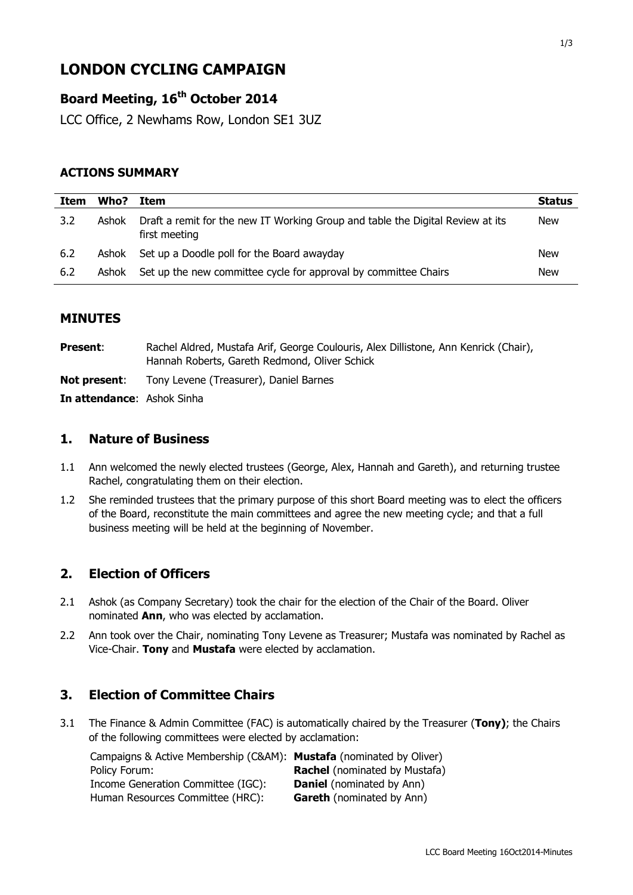# **LONDON CYCLING CAMPAIGN**

### **Board Meeting, 16 th October 2014**

LCC Office, 2 Newhams Row, London SE1 3UZ

#### **ACTIONS SUMMARY**

| Item | Who?  | Item                                                                                            | <b>Status</b> |
|------|-------|-------------------------------------------------------------------------------------------------|---------------|
| 3.2  | Ashok | Draft a remit for the new IT Working Group and table the Digital Review at its<br>first meeting | <b>New</b>    |
| 6.2  | Ashok | Set up a Doodle poll for the Board awayday                                                      | New           |
| 6.2  | Ashok | Set up the new committee cycle for approval by committee Chairs                                 | New           |

### **MINUTES**

Present: Rachel Aldred, Mustafa Arif, George Coulouris, Alex Dillistone, Ann Kenrick (Chair), Hannah Roberts, Gareth Redmond, Oliver Schick **Not present:** Tony Levene (Treasurer), Daniel Barnes **In attendance**: Ashok Sinha

#### **1. Nature of Business**

- 1.1 Ann welcomed the newly elected trustees (George, Alex, Hannah and Gareth), and returning trustee Rachel, congratulating them on their election.
- 1.2 She reminded trustees that the primary purpose of this short Board meeting was to elect the officers of the Board, reconstitute the main committees and agree the new meeting cycle; and that a full business meeting will be held at the beginning of November.

### **2. Election of Officers**

- 2.1 Ashok (as Company Secretary) took the chair for the election of the Chair of the Board. Oliver nominated **Ann**, who was elected by acclamation.
- 2.2 Ann took over the Chair, nominating Tony Levene as Treasurer; Mustafa was nominated by Rachel as Vice-Chair. **Tony** and **Mustafa** were elected by acclamation.

#### **3. Election of Committee Chairs**

3.1 The Finance & Admin Committee (FAC) is automatically chaired by the Treasurer (**Tony)**; the Chairs of the following committees were elected by acclamation:

| Campaigns & Active Membership (C&AM): Mustafa (nominated by Oliver) |                                      |
|---------------------------------------------------------------------|--------------------------------------|
| Policy Forum:                                                       | <b>Rachel</b> (nominated by Mustafa) |
| Income Generation Committee (IGC):                                  | <b>Daniel</b> (nominated by Ann)     |
| Human Resources Committee (HRC):                                    | <b>Gareth</b> (nominated by Ann)     |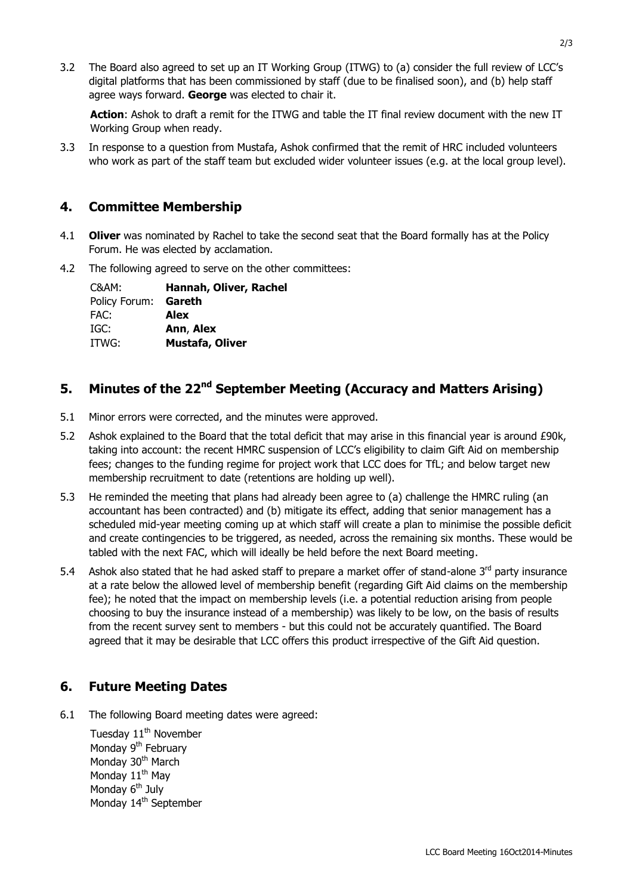3.2 The Board also agreed to set up an IT Working Group (ITWG) to (a) consider the full review of LCC's digital platforms that has been commissioned by staff (due to be finalised soon), and (b) help staff agree ways forward. **George** was elected to chair it.

**Action**: Ashok to draft a remit for the ITWG and table the IT final review document with the new IT Working Group when ready.

3.3 In response to a question from Mustafa, Ashok confirmed that the remit of HRC included volunteers who work as part of the staff team but excluded wider volunteer issues (e.g. at the local group level).

#### **4. Committee Membership**

- 4.1 **Oliver** was nominated by Rachel to take the second seat that the Board formally has at the Policy Forum. He was elected by acclamation.
- 4.2 The following agreed to serve on the other committees:

| C&AM:         | Hannah, Oliver, Rachel |
|---------------|------------------------|
| Policy Forum: | Gareth                 |
| FAC:          | Alex                   |
| IGC:          | Ann, Alex              |
| ITWG:         | <b>Mustafa, Oliver</b> |
|               |                        |

## **5. Minutes of the 22nd September Meeting (Accuracy and Matters Arising)**

- 5.1 Minor errors were corrected, and the minutes were approved.
- 5.2 Ashok explained to the Board that the total deficit that may arise in this financial year is around £90k, taking into account: the recent HMRC suspension of LCC's eligibility to claim Gift Aid on membership fees; changes to the funding regime for project work that LCC does for TfL; and below target new membership recruitment to date (retentions are holding up well).
- 5.3 He reminded the meeting that plans had already been agree to (a) challenge the HMRC ruling (an accountant has been contracted) and (b) mitigate its effect, adding that senior management has a scheduled mid-year meeting coming up at which staff will create a plan to minimise the possible deficit and create contingencies to be triggered, as needed, across the remaining six months. These would be tabled with the next FAC, which will ideally be held before the next Board meeting.
- 5.4 Ashok also stated that he had asked staff to prepare a market offer of stand-alone  $3<sup>rd</sup>$  party insurance at a rate below the allowed level of membership benefit (regarding Gift Aid claims on the membership fee); he noted that the impact on membership levels (i.e. a potential reduction arising from people choosing to buy the insurance instead of a membership) was likely to be low, on the basis of results from the recent survey sent to members - but this could not be accurately quantified. The Board agreed that it may be desirable that LCC offers this product irrespective of the Gift Aid question.

### **6. Future Meeting Dates**

6.1 The following Board meeting dates were agreed:

Tuesday  $11<sup>th</sup>$  November Monday 9<sup>th</sup> February Monday 30<sup>th</sup> March Monday 11<sup>th</sup> May Monday  $6<sup>th</sup>$  July Monday 14<sup>th</sup> September